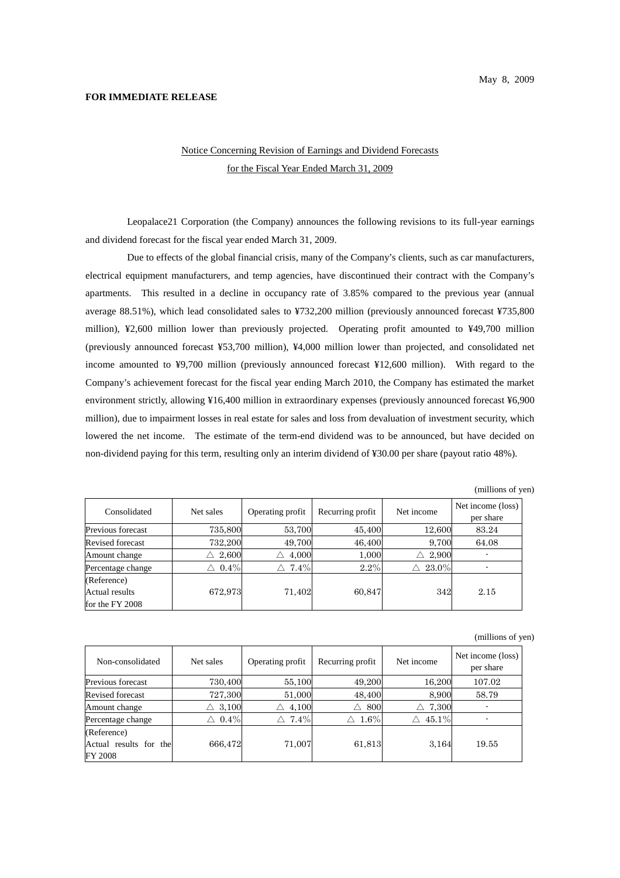## **FOR IMMEDIATE RELEASE**

## Notice Concerning Revision of Earnings and Dividend Forecasts for the Fiscal Year Ended March 31, 2009

Leopalace21 Corporation (the Company) announces the following revisions to its full-year earnings and dividend forecast for the fiscal year ended March 31, 2009.

Due to effects of the global financial crisis, many of the Company's clients, such as car manufacturers, electrical equipment manufacturers, and temp agencies, have discontinued their contract with the Company's apartments. This resulted in a decline in occupancy rate of 3.85% compared to the previous year (annual average 88.51%), which lead consolidated sales to ¥732,200 million (previously announced forecast ¥735,800 million), ¥2,600 million lower than previously projected. Operating profit amounted to ¥49,700 million (previously announced forecast ¥53,700 million), ¥4,000 million lower than projected, and consolidated net income amounted to ¥9,700 million (previously announced forecast ¥12,600 million). With regard to the Company's achievement forecast for the fiscal year ending March 2010, the Company has estimated the market environment strictly, allowing ¥16,400 million in extraordinary expenses (previously announced forecast ¥6,900 million), due to impairment losses in real estate for sales and loss from devaluation of investment security, which lowered the net income. The estimate of the term-end dividend was to be announced, but have decided on non-dividend paying for this term, resulting only an interim dividend of ¥30.00 per share (payout ratio 48%).

(millions of yen)

| Consolidated      | Net sales  | Operating profit | Recurring profit | Net income | Net income (loss)<br>per share |
|-------------------|------------|------------------|------------------|------------|--------------------------------|
| Previous forecast | 735,800    | 53,700           | 45,400           | 12,600     | 83.24                          |
| Revised forecast  | 732,200    | 49,700           | 46,400           | 9,700      | 64.08                          |
| Amount change     | 2,600<br>Λ | 4,000<br>Λ       | 1,000            | 2,900<br>Λ |                                |
| Percentage change | $0.4\%$    | $7.4\%$<br>Λ     | 2.2%             | $23.0\%$   |                                |
| (Reference)       |            |                  |                  |            |                                |
| Actual results    | 672,973    | 71,402           | 60,847           | 342        | 2.15                           |
| for the FY 2008   |            |                  |                  |            |                                |

(millions of yen)

| Non-consolidated       | Net sales        | Operating profit | Recurring profit | Net income | Net income (loss)<br>per share |
|------------------------|------------------|------------------|------------------|------------|--------------------------------|
| Previous forecast      | 730,400          | 55,100           | 49,200           | 16.200     | 107.02                         |
| Revised forecast       | 727,300          | 51,000           | 48,400           | 8.900      | 58.79                          |
| Amount change          | 3,100<br>Л       | 4,100<br>Λ       | 800<br>Λ         | 7,300<br>Λ |                                |
| Percentage change      | $\triangle$ 0.4% | $7.4\%$<br>Λ     | $1.6\%$          | 45.1%      |                                |
| (Reference)            |                  |                  |                  |            |                                |
| Actual results for the | 666,472          | 71,007           | 61,813           | 3.164      | 19.55                          |
| <b>FY 2008</b>         |                  |                  |                  |            |                                |